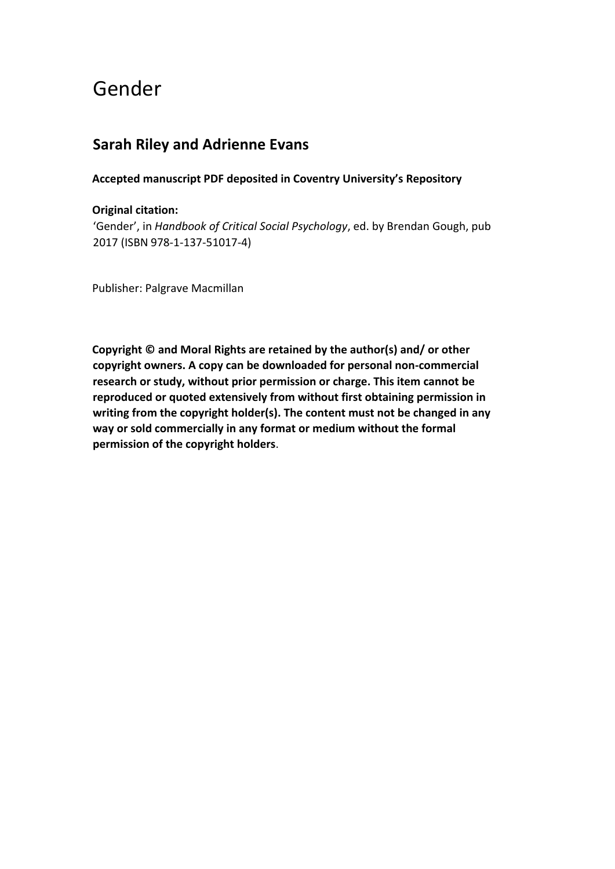# Gender

# **Sarah Riley and Adrienne Evans**

# **Accepted manuscript PDF deposited in Coventry University's Repository**

## **Original citation:**

'Gender', in *Handbook of Critical Social Psychology*, ed. by Brendan Gough, pub 2017 (ISBN 978-1-137-51017-4)

Publisher: Palgrave Macmillan

**Copyright © and Moral Rights are retained by the author(s) and/ or other copyright owners. A copy can be downloaded for personal non-commercial research or study, without prior permission or charge. This item cannot be reproduced or quoted extensively from without first obtaining permission in writing from the copyright holder(s). The content must not be changed in any way or sold commercially in any format or medium without the formal permission of the copyright holders**.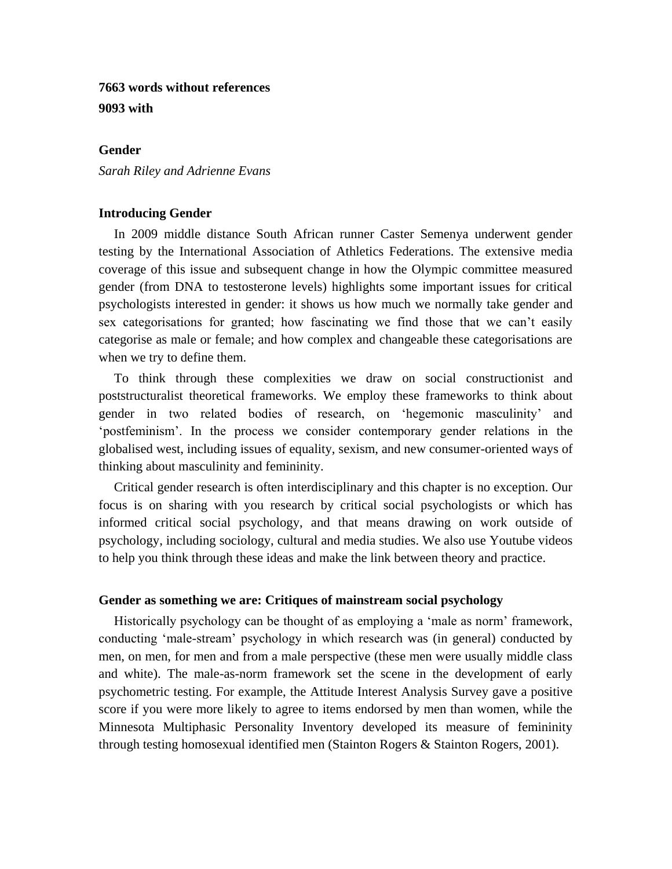# **7663 words without references 9093 with**

#### **Gender**

*Sarah Riley and Adrienne Evans*

#### **Introducing Gender**

In 2009 middle distance South African runner Caster Semenya underwent gender testing by the International Association of Athletics Federations. The extensive media coverage of this issue and subsequent change in how the Olympic committee measured gender (from DNA to testosterone levels) highlights some important issues for critical psychologists interested in gender: it shows us how much we normally take gender and sex categorisations for granted; how fascinating we find those that we can't easily categorise as male or female; and how complex and changeable these categorisations are when we try to define them.

To think through these complexities we draw on social constructionist and poststructuralist theoretical frameworks. We employ these frameworks to think about gender in two related bodies of research, on 'hegemonic masculinity' and 'postfeminism'. In the process we consider contemporary gender relations in the globalised west, including issues of equality, sexism, and new consumer-oriented ways of thinking about masculinity and femininity.

Critical gender research is often interdisciplinary and this chapter is no exception. Our focus is on sharing with you research by critical social psychologists or which has informed critical social psychology, and that means drawing on work outside of psychology, including sociology, cultural and media studies. We also use Youtube videos to help you think through these ideas and make the link between theory and practice.

#### **Gender as something we are: Critiques of mainstream social psychology**

Historically psychology can be thought of as employing a 'male as norm' framework, conducting 'male-stream' psychology in which research was (in general) conducted by men, on men, for men and from a male perspective (these men were usually middle class and white). The male-as-norm framework set the scene in the development of early psychometric testing. For example, the Attitude Interest Analysis Survey gave a positive score if you were more likely to agree to items endorsed by men than women, while the Minnesota Multiphasic Personality Inventory developed its measure of femininity through testing homosexual identified men (Stainton Rogers & Stainton Rogers, 2001).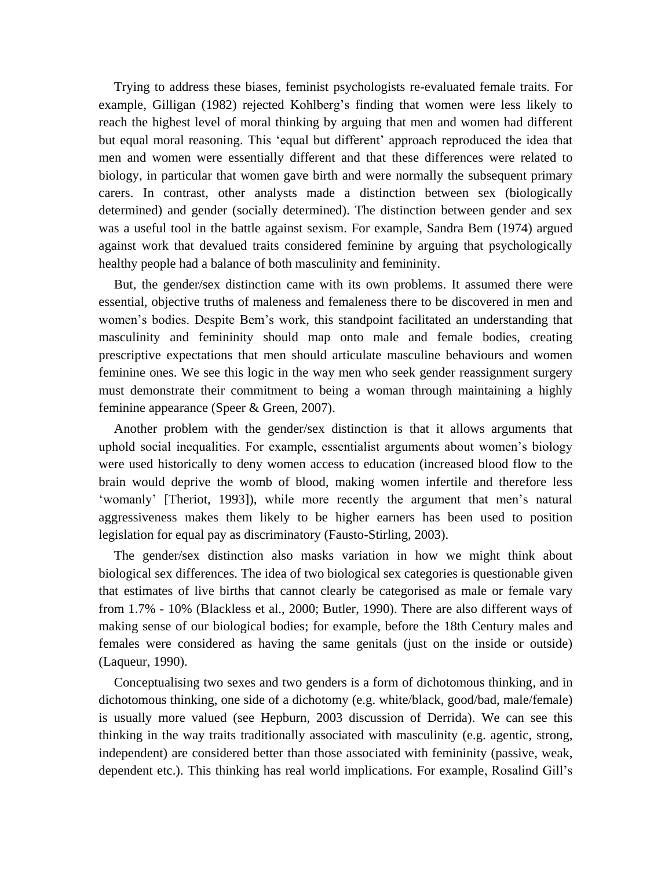Trying to address these biases, feminist psychologists re-evaluated female traits. For example, Gilligan (1982) rejected Kohlberg's finding that women were less likely to reach the highest level of moral thinking by arguing that men and women had different but equal moral reasoning. This 'equal but different' approach reproduced the idea that men and women were essentially different and that these differences were related to biology, in particular that women gave birth and were normally the subsequent primary carers. In contrast, other analysts made a distinction between sex (biologically determined) and gender (socially determined). The distinction between gender and sex was a useful tool in the battle against sexism. For example, Sandra Bem (1974) argued against work that devalued traits considered feminine by arguing that psychologically healthy people had a balance of both masculinity and femininity.

But, the gender/sex distinction came with its own problems. It assumed there were essential, objective truths of maleness and femaleness there to be discovered in men and women's bodies. Despite Bem's work, this standpoint facilitated an understanding that masculinity and femininity should map onto male and female bodies, creating prescriptive expectations that men should articulate masculine behaviours and women feminine ones. We see this logic in the way men who seek gender reassignment surgery must demonstrate their commitment to being a woman through maintaining a highly feminine appearance (Speer & Green, 2007).

Another problem with the gender/sex distinction is that it allows arguments that uphold social inequalities. For example, essentialist arguments about women's biology were used historically to deny women access to education (increased blood flow to the brain would deprive the womb of blood, making women infertile and therefore less 'womanly' [Theriot, 1993]), while more recently the argument that men's natural aggressiveness makes them likely to be higher earners has been used to position legislation for equal pay as discriminatory (Fausto-Stirling, 2003).

The gender/sex distinction also masks variation in how we might think about biological sex differences. The idea of two biological sex categories is questionable given that estimates of live births that cannot clearly be categorised as male or female vary from 1.7% - 10% (Blackless et al., 2000; Butler, 1990). There are also different ways of making sense of our biological bodies; for example, before the 18th Century males and females were considered as having the same genitals (just on the inside or outside) (Laqueur, 1990).

Conceptualising two sexes and two genders is a form of dichotomous thinking, and in dichotomous thinking, one side of a dichotomy (e.g. white/black, good/bad, male/female) is usually more valued (see Hepburn, 2003 discussion of Derrida). We can see this thinking in the way traits traditionally associated with masculinity (e.g. agentic, strong, independent) are considered better than those associated with femininity (passive, weak, dependent etc.). This thinking has real world implications. For example, Rosalind Gill's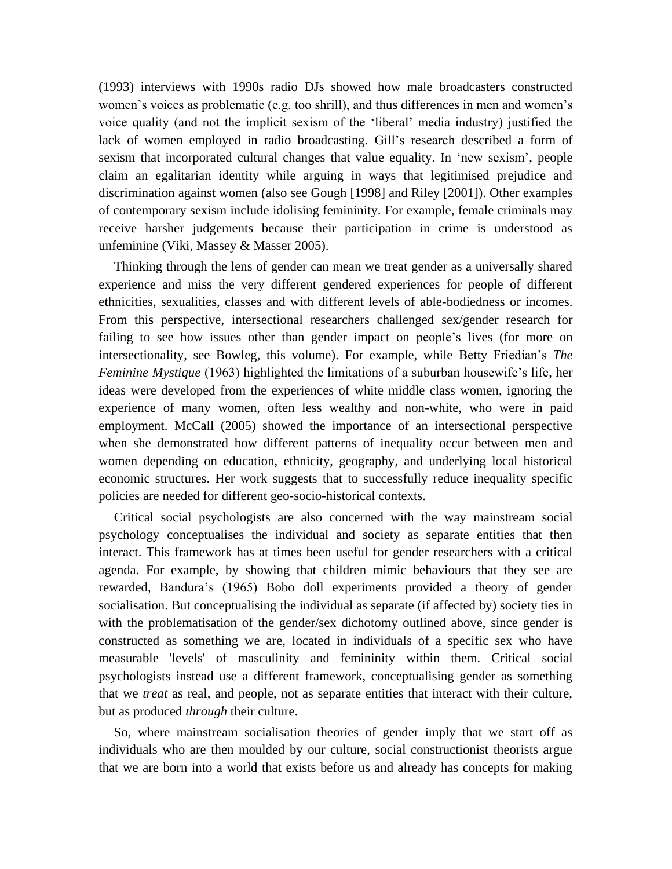(1993) interviews with 1990s radio DJs showed how male broadcasters constructed women's voices as problematic (e.g. too shrill), and thus differences in men and women's voice quality (and not the implicit sexism of the 'liberal' media industry) justified the lack of women employed in radio broadcasting. Gill's research described a form of sexism that incorporated cultural changes that value equality. In 'new sexism', people claim an egalitarian identity while arguing in ways that legitimised prejudice and discrimination against women (also see Gough [1998] and Riley [2001]). Other examples of contemporary sexism include idolising femininity. For example, female criminals may receive harsher judgements because their participation in crime is understood as unfeminine (Viki, Massey & Masser 2005).

Thinking through the lens of gender can mean we treat gender as a universally shared experience and miss the very different gendered experiences for people of different ethnicities, sexualities, classes and with different levels of able-bodiedness or incomes. From this perspective, intersectional researchers challenged sex/gender research for failing to see how issues other than gender impact on people's lives (for more on intersectionality, see Bowleg, this volume). For example, while Betty Friedian's *The Feminine Mystique* (1963) highlighted the limitations of a suburban housewife's life, her ideas were developed from the experiences of white middle class women, ignoring the experience of many women, often less wealthy and non-white, who were in paid employment. McCall (2005) showed the importance of an intersectional perspective when she demonstrated how different patterns of inequality occur between men and women depending on education, ethnicity, geography, and underlying local historical economic structures. Her work suggests that to successfully reduce inequality specific policies are needed for different geo-socio-historical contexts.

Critical social psychologists are also concerned with the way mainstream social psychology conceptualises the individual and society as separate entities that then interact. This framework has at times been useful for gender researchers with a critical agenda. For example, by showing that children mimic behaviours that they see are rewarded, Bandura's (1965) Bobo doll experiments provided a theory of gender socialisation. But conceptualising the individual as separate (if affected by) society ties in with the problematisation of the gender/sex dichotomy outlined above, since gender is constructed as something we are, located in individuals of a specific sex who have measurable 'levels' of masculinity and femininity within them. Critical social psychologists instead use a different framework, conceptualising gender as something that we *treat* as real, and people, not as separate entities that interact with their culture, but as produced *through* their culture.

So, where mainstream socialisation theories of gender imply that we start off as individuals who are then moulded by our culture, social constructionist theorists argue that we are born into a world that exists before us and already has concepts for making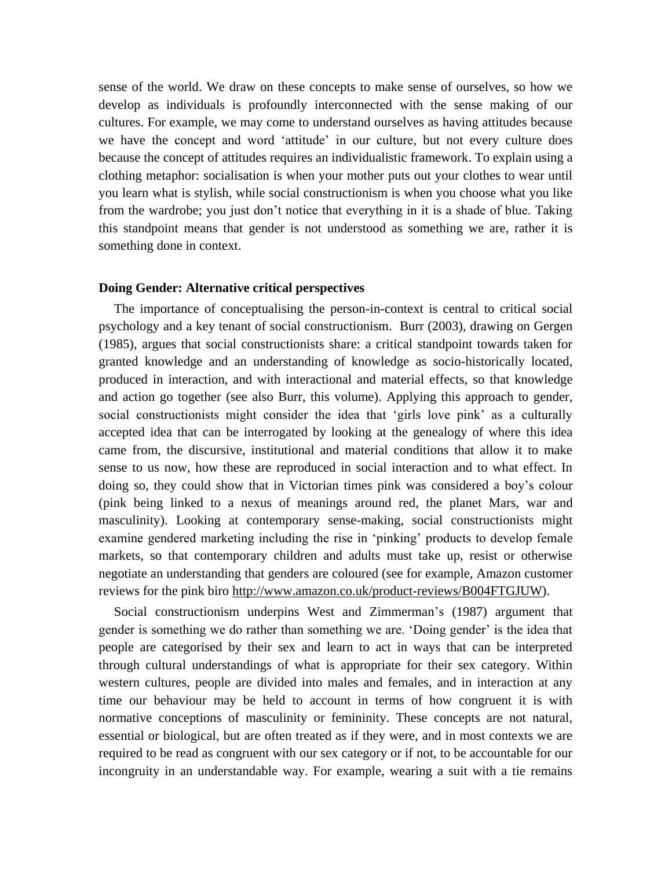sense of the world. We draw on these concepts to make sense of ourselves, so how we develop as individuals is profoundly interconnected with the sense making of our cultures. For example, we may come to understand ourselves as having attitudes because we have the concept and word 'attitude' in our culture, but not every culture does because the concept of attitudes requires an individualistic framework. To explain using a clothing metaphor: socialisation is when your mother puts out your clothes to wear until you learn what is stylish, while social constructionism is when you choose what you like from the wardrobe; you just don't notice that everything in it is a shade of blue. Taking this standpoint means that gender is not understood as something we are, rather it is something done in context.

#### **Doing Gender: Alternative critical perspectives**

The importance of conceptualising the person-in-context is central to critical social psychology and a key tenant of social constructionism. Burr (2003), drawing on Gergen (1985), argues that social constructionists share: a critical standpoint towards taken for granted knowledge and an understanding of knowledge as socio-historically located, produced in interaction, and with interactional and material effects, so that knowledge and action go together (see also Burr, this volume). Applying this approach to gender, social constructionists might consider the idea that 'girls love pink' as a culturally accepted idea that can be interrogated by looking at the genealogy of where this idea came from, the discursive, institutional and material conditions that allow it to make sense to us now, how these are reproduced in social interaction and to what effect. In doing so, they could show that in Victorian times pink was considered a boy's colour (pink being linked to a nexus of meanings around red, the planet Mars, war and masculinity). Looking at contemporary sense-making, social constructionists might examine gendered marketing including the rise in 'pinking' products to develop female markets, so that contemporary children and adults must take up, resist or otherwise negotiate an understanding that genders are coloured (see for example, Amazon customer reviews for the pink biro http://www.amazon.co.uk/product-reviews/B004FTGJUW).

Social constructionism underpins West and Zimmerman's (1987) argument that gender is something we do rather than something we are. 'Doing gender' is the idea that people are categorised by their sex and learn to act in ways that can be interpreted through cultural understandings of what is appropriate for their sex category. Within western cultures, people are divided into males and females, and in interaction at any time our behaviour may be held to account in terms of how congruent it is with normative conceptions of masculinity or femininity. These concepts are not natural, essential or biological, but are often treated as if they were, and in most contexts we are required to be read as congruent with our sex category or if not, to be accountable for our incongruity in an understandable way. For example, wearing a suit with a tie remains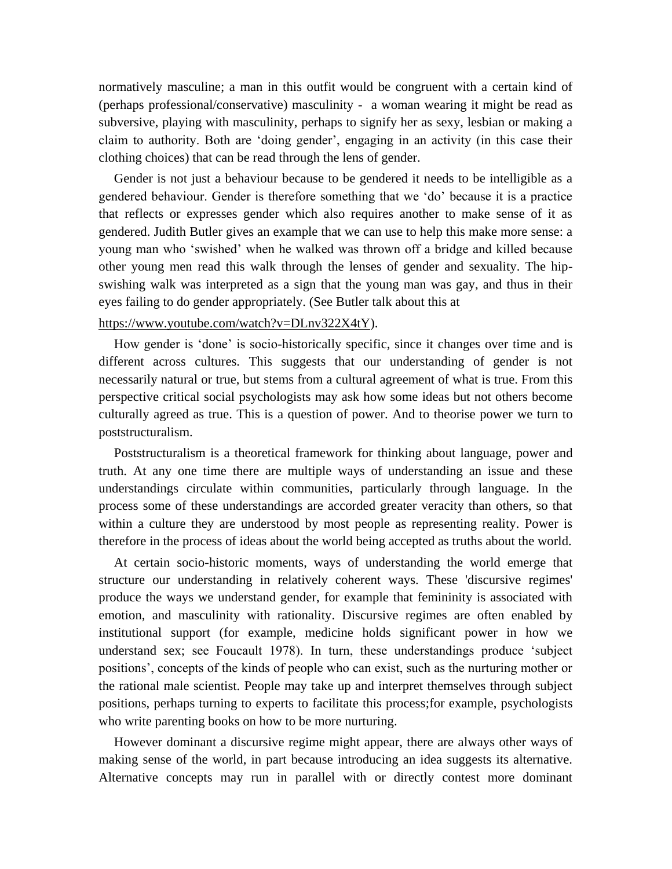normatively masculine; a man in this outfit would be congruent with a certain kind of (perhaps professional/conservative) masculinity - a woman wearing it might be read as subversive, playing with masculinity, perhaps to signify her as sexy, lesbian or making a claim to authority. Both are 'doing gender', engaging in an activity (in this case their clothing choices) that can be read through the lens of gender.

Gender is not just a behaviour because to be gendered it needs to be intelligible as a gendered behaviour. Gender is therefore something that we 'do' because it is a practice that reflects or expresses gender which also requires another to make sense of it as gendered. Judith Butler gives an example that we can use to help this make more sense: a young man who 'swished' when he walked was thrown off a bridge and killed because other young men read this walk through the lenses of gender and sexuality. The hipswishing walk was interpreted as a sign that the young man was gay, and thus in their eyes failing to do gender appropriately. (See Butler talk about this at

#### https://www.youtube.com/watch?v=DLnv322X4tY).

How gender is 'done' is socio-historically specific, since it changes over time and is different across cultures. This suggests that our understanding of gender is not necessarily natural or true, but stems from a cultural agreement of what is true. From this perspective critical social psychologists may ask how some ideas but not others become culturally agreed as true. This is a question of power. And to theorise power we turn to poststructuralism.

Poststructuralism is a theoretical framework for thinking about language, power and truth. At any one time there are multiple ways of understanding an issue and these understandings circulate within communities, particularly through language. In the process some of these understandings are accorded greater veracity than others, so that within a culture they are understood by most people as representing reality. Power is therefore in the process of ideas about the world being accepted as truths about the world.

At certain socio-historic moments, ways of understanding the world emerge that structure our understanding in relatively coherent ways. These 'discursive regimes' produce the ways we understand gender, for example that femininity is associated with emotion, and masculinity with rationality. Discursive regimes are often enabled by institutional support (for example, medicine holds significant power in how we understand sex; see Foucault 1978). In turn, these understandings produce 'subject positions', concepts of the kinds of people who can exist, such as the nurturing mother or the rational male scientist. People may take up and interpret themselves through subject positions, perhaps turning to experts to facilitate this process;for example, psychologists who write parenting books on how to be more nurturing.

However dominant a discursive regime might appear, there are always other ways of making sense of the world, in part because introducing an idea suggests its alternative. Alternative concepts may run in parallel with or directly contest more dominant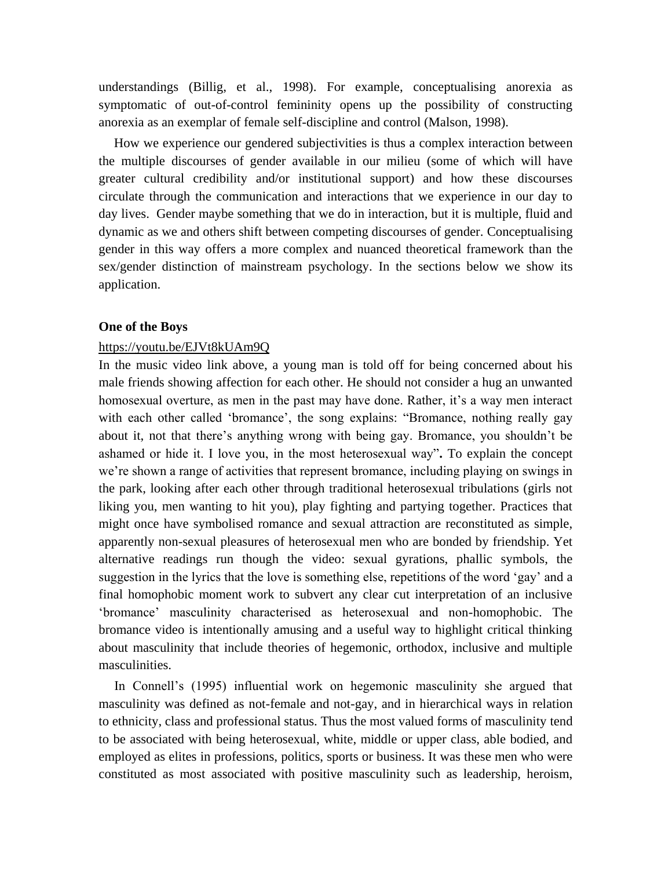understandings (Billig, et al., 1998). For example, conceptualising anorexia as symptomatic of out-of-control femininity opens up the possibility of constructing anorexia as an exemplar of female self-discipline and control (Malson, 1998).

How we experience our gendered subjectivities is thus a complex interaction between the multiple discourses of gender available in our milieu (some of which will have greater cultural credibility and/or institutional support) and how these discourses circulate through the communication and interactions that we experience in our day to day lives. Gender maybe something that we do in interaction, but it is multiple, fluid and dynamic as we and others shift between competing discourses of gender. Conceptualising gender in this way offers a more complex and nuanced theoretical framework than the sex/gender distinction of mainstream psychology. In the sections below we show its application.

#### **One of the Boys**

#### https://youtu.be/EJVt8kUAm9Q

In the music video link above, a young man is told off for being concerned about his male friends showing affection for each other. He should not consider a hug an unwanted homosexual overture, as men in the past may have done. Rather, it's a way men interact with each other called 'bromance', the song explains: "Bromance, nothing really gay about it, not that there's anything wrong with being gay. Bromance, you shouldn't be ashamed or hide it. I love you, in the most heterosexual way"**.** To explain the concept we're shown a range of activities that represent bromance, including playing on swings in the park, looking after each other through traditional heterosexual tribulations (girls not liking you, men wanting to hit you), play fighting and partying together. Practices that might once have symbolised romance and sexual attraction are reconstituted as simple, apparently non-sexual pleasures of heterosexual men who are bonded by friendship. Yet alternative readings run though the video: sexual gyrations, phallic symbols, the suggestion in the lyrics that the love is something else, repetitions of the word 'gay' and a final homophobic moment work to subvert any clear cut interpretation of an inclusive 'bromance' masculinity characterised as heterosexual and non-homophobic. The bromance video is intentionally amusing and a useful way to highlight critical thinking about masculinity that include theories of hegemonic, orthodox, inclusive and multiple masculinities.

In Connell's (1995) influential work on hegemonic masculinity she argued that masculinity was defined as not-female and not-gay, and in hierarchical ways in relation to ethnicity, class and professional status. Thus the most valued forms of masculinity tend to be associated with being heterosexual, white, middle or upper class, able bodied, and employed as elites in professions, politics, sports or business. It was these men who were constituted as most associated with positive masculinity such as leadership, heroism,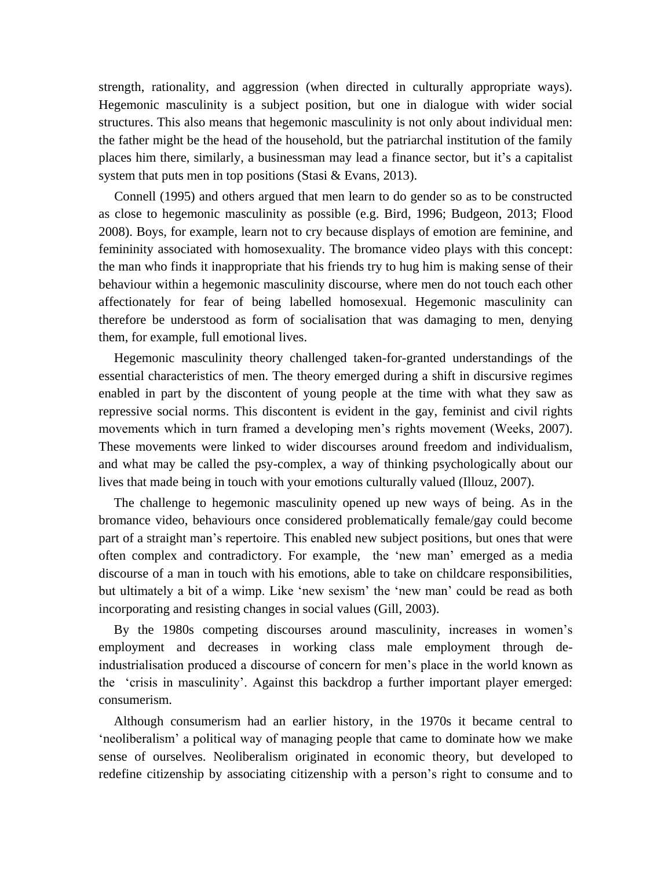strength, rationality, and aggression (when directed in culturally appropriate ways). Hegemonic masculinity is a subject position, but one in dialogue with wider social structures. This also means that hegemonic masculinity is not only about individual men: the father might be the head of the household, but the patriarchal institution of the family places him there, similarly, a businessman may lead a finance sector, but it's a capitalist system that puts men in top positions (Stasi & Evans, 2013).

Connell (1995) and others argued that men learn to do gender so as to be constructed as close to hegemonic masculinity as possible (e.g. Bird, 1996; Budgeon, 2013; Flood 2008). Boys, for example, learn not to cry because displays of emotion are feminine, and femininity associated with homosexuality. The bromance video plays with this concept: the man who finds it inappropriate that his friends try to hug him is making sense of their behaviour within a hegemonic masculinity discourse, where men do not touch each other affectionately for fear of being labelled homosexual. Hegemonic masculinity can therefore be understood as form of socialisation that was damaging to men, denying them, for example, full emotional lives.

Hegemonic masculinity theory challenged taken-for-granted understandings of the essential characteristics of men. The theory emerged during a shift in discursive regimes enabled in part by the discontent of young people at the time with what they saw as repressive social norms. This discontent is evident in the gay, feminist and civil rights movements which in turn framed a developing men's rights movement (Weeks, 2007). These movements were linked to wider discourses around freedom and individualism, and what may be called the psy-complex, a way of thinking psychologically about our lives that made being in touch with your emotions culturally valued (Illouz, 2007).

The challenge to hegemonic masculinity opened up new ways of being. As in the bromance video, behaviours once considered problematically female/gay could become part of a straight man's repertoire. This enabled new subject positions, but ones that were often complex and contradictory. For example, the 'new man' emerged as a media discourse of a man in touch with his emotions, able to take on childcare responsibilities, but ultimately a bit of a wimp. Like 'new sexism' the 'new man' could be read as both incorporating and resisting changes in social values (Gill, 2003).

By the 1980s competing discourses around masculinity, increases in women's employment and decreases in working class male employment through deindustrialisation produced a discourse of concern for men's place in the world known as the 'crisis in masculinity'. Against this backdrop a further important player emerged: consumerism.

Although consumerism had an earlier history, in the 1970s it became central to 'neoliberalism' a political way of managing people that came to dominate how we make sense of ourselves. Neoliberalism originated in economic theory, but developed to redefine citizenship by associating citizenship with a person's right to consume and to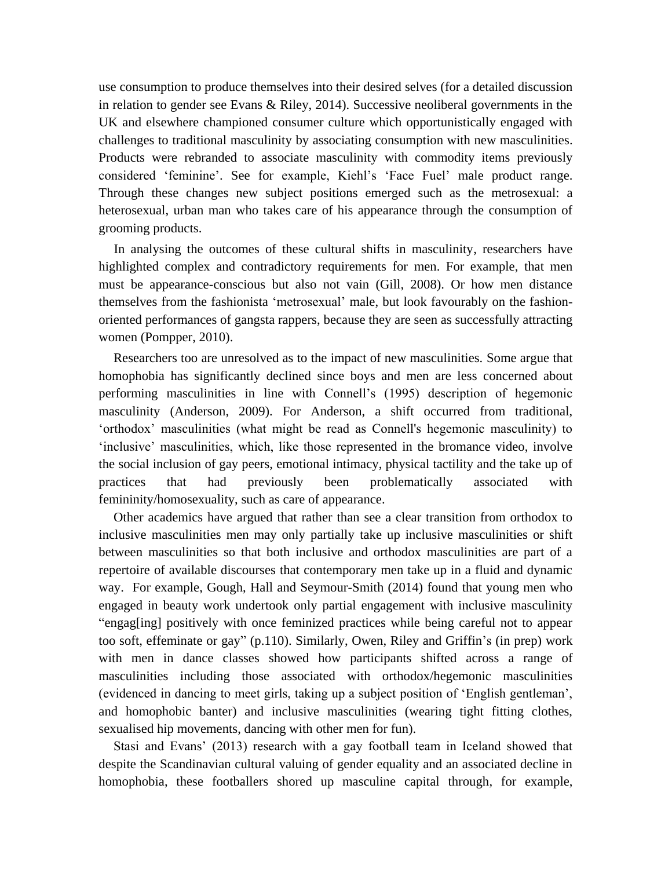use consumption to produce themselves into their desired selves (for a detailed discussion in relation to gender see Evans & Riley, 2014). Successive neoliberal governments in the UK and elsewhere championed consumer culture which opportunistically engaged with challenges to traditional masculinity by associating consumption with new masculinities. Products were rebranded to associate masculinity with commodity items previously considered 'feminine'. See for example, Kiehl's 'Face Fuel' male product range. Through these changes new subject positions emerged such as the metrosexual: a heterosexual, urban man who takes care of his appearance through the consumption of grooming products.

In analysing the outcomes of these cultural shifts in masculinity, researchers have highlighted complex and contradictory requirements for men. For example, that men must be appearance-conscious but also not vain (Gill, 2008). Or how men distance themselves from the fashionista 'metrosexual' male, but look favourably on the fashionoriented performances of gangsta rappers, because they are seen as successfully attracting women (Pompper, 2010).

Researchers too are unresolved as to the impact of new masculinities. Some argue that homophobia has significantly declined since boys and men are less concerned about performing masculinities in line with Connell's (1995) description of hegemonic masculinity (Anderson, 2009). For Anderson, a shift occurred from traditional, 'orthodox' masculinities (what might be read as Connell's hegemonic masculinity) to 'inclusive' masculinities, which, like those represented in the bromance video, involve the social inclusion of gay peers, emotional intimacy, physical tactility and the take up of practices that had previously been problematically associated with femininity/homosexuality, such as care of appearance.

Other academics have argued that rather than see a clear transition from orthodox to inclusive masculinities men may only partially take up inclusive masculinities or shift between masculinities so that both inclusive and orthodox masculinities are part of a repertoire of available discourses that contemporary men take up in a fluid and dynamic way. For example, Gough, Hall and Seymour-Smith (2014) found that young men who engaged in beauty work undertook only partial engagement with inclusive masculinity "engag[ing] positively with once feminized practices while being careful not to appear too soft, effeminate or gay" (p.110). Similarly, Owen, Riley and Griffin's (in prep) work with men in dance classes showed how participants shifted across a range of masculinities including those associated with orthodox/hegemonic masculinities (evidenced in dancing to meet girls, taking up a subject position of 'English gentleman', and homophobic banter) and inclusive masculinities (wearing tight fitting clothes, sexualised hip movements, dancing with other men for fun).

Stasi and Evans' (2013) research with a gay football team in Iceland showed that despite the Scandinavian cultural valuing of gender equality and an associated decline in homophobia, these footballers shored up masculine capital through, for example,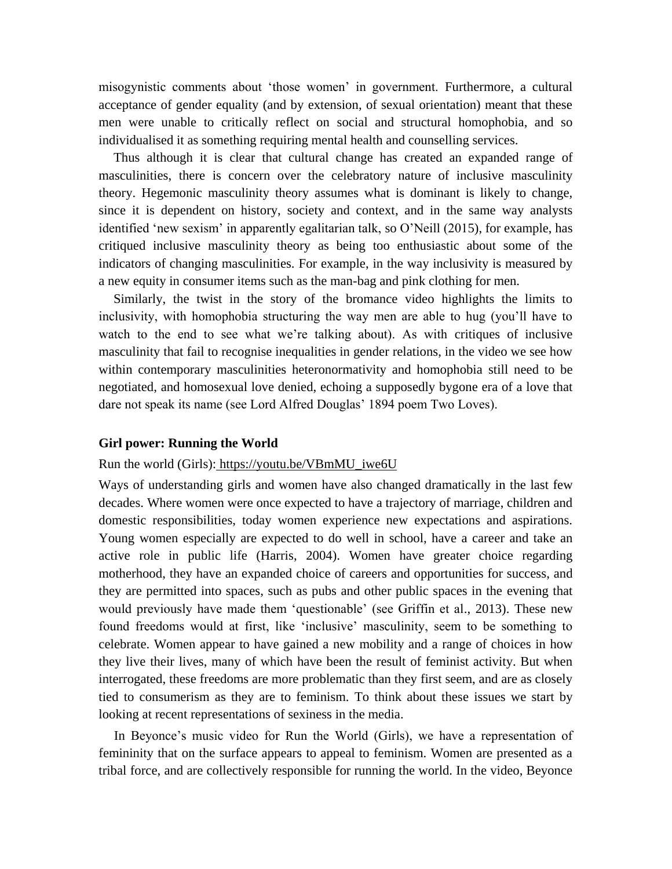misogynistic comments about 'those women' in government. Furthermore, a cultural acceptance of gender equality (and by extension, of sexual orientation) meant that these men were unable to critically reflect on social and structural homophobia, and so individualised it as something requiring mental health and counselling services.

Thus although it is clear that cultural change has created an expanded range of masculinities, there is concern over the celebratory nature of inclusive masculinity theory. Hegemonic masculinity theory assumes what is dominant is likely to change, since it is dependent on history, society and context, and in the same way analysts identified 'new sexism' in apparently egalitarian talk, so O'Neill (2015), for example, has critiqued inclusive masculinity theory as being too enthusiastic about some of the indicators of changing masculinities. For example, in the way inclusivity is measured by a new equity in consumer items such as the man-bag and pink clothing for men.

Similarly, the twist in the story of the bromance video highlights the limits to inclusivity, with homophobia structuring the way men are able to hug (you'll have to watch to the end to see what we're talking about). As with critiques of inclusive masculinity that fail to recognise inequalities in gender relations, in the video we see how within contemporary masculinities heteronormativity and homophobia still need to be negotiated, and homosexual love denied, echoing a supposedly bygone era of a love that dare not speak its name (see Lord Alfred Douglas' 1894 poem Two Loves).

#### **Girl power: Running the World**

#### Run the world (Girls): https://youtu.be/VBmMU\_iwe6U

Ways of understanding girls and women have also changed dramatically in the last few decades. Where women were once expected to have a trajectory of marriage, children and domestic responsibilities, today women experience new expectations and aspirations. Young women especially are expected to do well in school, have a career and take an active role in public life (Harris, 2004). Women have greater choice regarding motherhood, they have an expanded choice of careers and opportunities for success, and they are permitted into spaces, such as pubs and other public spaces in the evening that would previously have made them 'questionable' (see Griffin et al., 2013). These new found freedoms would at first, like 'inclusive' masculinity, seem to be something to celebrate. Women appear to have gained a new mobility and a range of choices in how they live their lives, many of which have been the result of feminist activity. But when interrogated, these freedoms are more problematic than they first seem, and are as closely tied to consumerism as they are to feminism. To think about these issues we start by looking at recent representations of sexiness in the media.

In Beyonce's music video for Run the World (Girls), we have a representation of femininity that on the surface appears to appeal to feminism. Women are presented as a tribal force, and are collectively responsible for running the world. In the video, Beyonce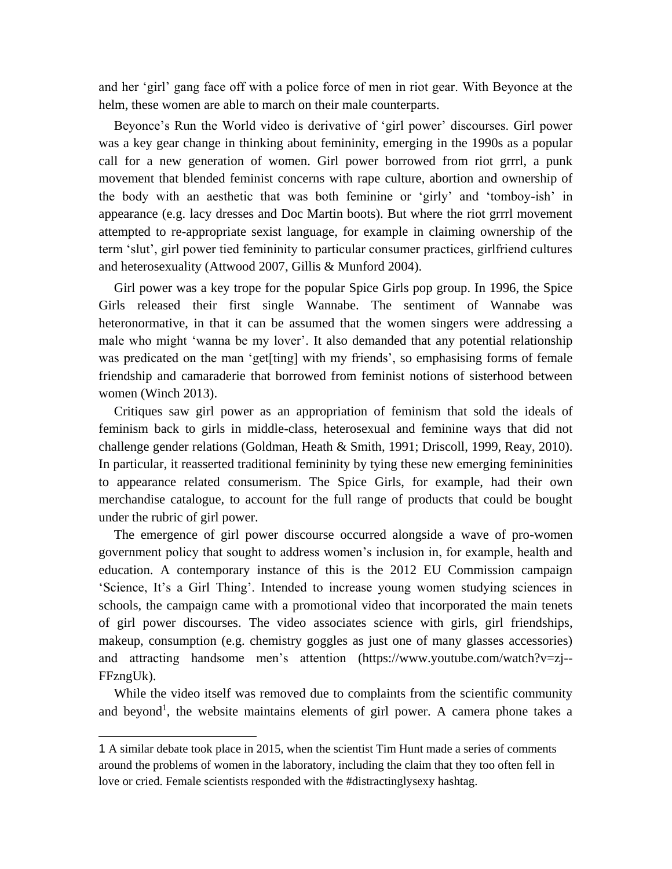and her 'girl' gang face off with a police force of men in riot gear. With Beyonce at the helm, these women are able to march on their male counterparts.

Beyonce's Run the World video is derivative of 'girl power' discourses. Girl power was a key gear change in thinking about femininity, emerging in the 1990s as a popular call for a new generation of women. Girl power borrowed from riot grrrl, a punk movement that blended feminist concerns with rape culture, abortion and ownership of the body with an aesthetic that was both feminine or 'girly' and 'tomboy-ish' in appearance (e.g. lacy dresses and Doc Martin boots). But where the riot grrrl movement attempted to re-appropriate sexist language, for example in claiming ownership of the term 'slut', girl power tied femininity to particular consumer practices, girlfriend cultures and heterosexuality (Attwood 2007, Gillis & Munford 2004).

Girl power was a key trope for the popular Spice Girls pop group. In 1996, the Spice Girls released their first single Wannabe. The sentiment of Wannabe was heteronormative, in that it can be assumed that the women singers were addressing a male who might 'wanna be my lover'. It also demanded that any potential relationship was predicated on the man 'get[ting] with my friends', so emphasising forms of female friendship and camaraderie that borrowed from feminist notions of sisterhood between women (Winch 2013).

Critiques saw girl power as an appropriation of feminism that sold the ideals of feminism back to girls in middle-class, heterosexual and feminine ways that did not challenge gender relations (Goldman, Heath & Smith, 1991; Driscoll, 1999, Reay, 2010). In particular, it reasserted traditional femininity by tying these new emerging femininities to appearance related consumerism. The Spice Girls, for example, had their own merchandise catalogue, to account for the full range of products that could be bought under the rubric of girl power.

The emergence of girl power discourse occurred alongside a wave of pro-women government policy that sought to address women's inclusion in, for example, health and education. A contemporary instance of this is the 2012 EU Commission campaign 'Science, It's a Girl Thing'. Intended to increase young women studying sciences in schools, the campaign came with a promotional video that incorporated the main tenets of girl power discourses. The video associates science with girls, girl friendships, makeup, consumption (e.g. chemistry goggles as just one of many glasses accessories) and attracting handsome men's attention (https://www.youtube.com/watch?v=zj-- FFzngUk).

While the video itself was removed due to complaints from the scientific community and beyond<sup>1</sup>, the website maintains elements of girl power. A camera phone takes a

 $\overline{a}$ 

<sup>1</sup> A similar debate took place in 2015, when the scientist Tim Hunt made a series of comments around the problems of women in the laboratory, including the claim that they too often fell in love or cried. Female scientists responded with the #distractinglysexy hashtag.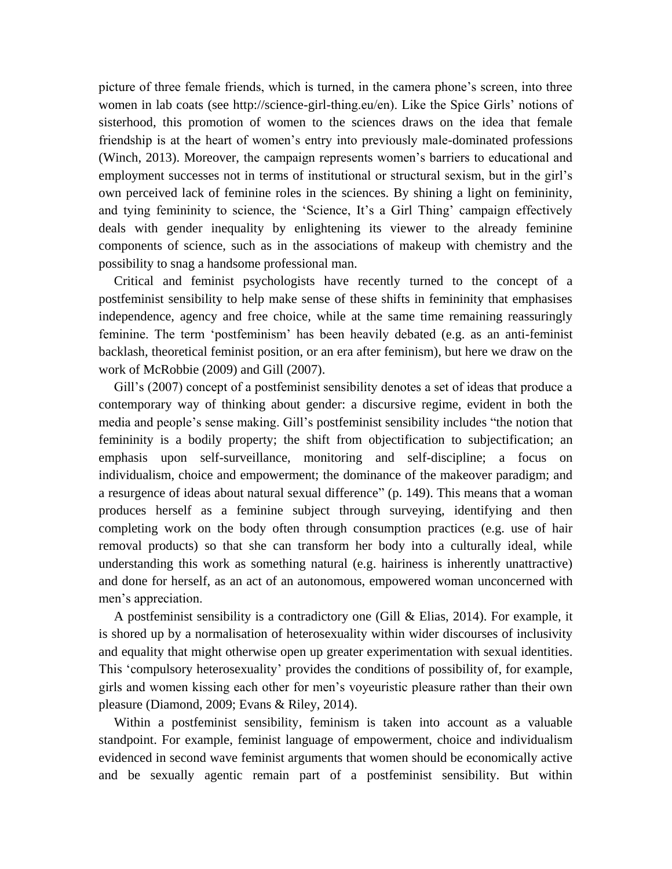picture of three female friends, which is turned, in the camera phone's screen, into three women in lab coats (see http://science-girl-thing.eu/en). Like the Spice Girls' notions of sisterhood, this promotion of women to the sciences draws on the idea that female friendship is at the heart of women's entry into previously male-dominated professions (Winch, 2013). Moreover, the campaign represents women's barriers to educational and employment successes not in terms of institutional or structural sexism, but in the girl's own perceived lack of feminine roles in the sciences. By shining a light on femininity, and tying femininity to science, the 'Science, It's a Girl Thing' campaign effectively deals with gender inequality by enlightening its viewer to the already feminine components of science, such as in the associations of makeup with chemistry and the possibility to snag a handsome professional man.

Critical and feminist psychologists have recently turned to the concept of a postfeminist sensibility to help make sense of these shifts in femininity that emphasises independence, agency and free choice, while at the same time remaining reassuringly feminine. The term 'postfeminism' has been heavily debated (e.g. as an anti-feminist backlash, theoretical feminist position, or an era after feminism), but here we draw on the work of McRobbie (2009) and Gill (2007).

Gill's (2007) concept of a postfeminist sensibility denotes a set of ideas that produce a contemporary way of thinking about gender: a discursive regime, evident in both the media and people's sense making. Gill's postfeminist sensibility includes "the notion that femininity is a bodily property; the shift from objectification to subjectification; an emphasis upon self-surveillance, monitoring and self-discipline; a focus on individualism, choice and empowerment; the dominance of the makeover paradigm; and a resurgence of ideas about natural sexual difference" (p. 149). This means that a woman produces herself as a feminine subject through surveying, identifying and then completing work on the body often through consumption practices (e.g. use of hair removal products) so that she can transform her body into a culturally ideal, while understanding this work as something natural (e.g. hairiness is inherently unattractive) and done for herself, as an act of an autonomous, empowered woman unconcerned with men's appreciation.

A postfeminist sensibility is a contradictory one (Gill & Elias, 2014). For example, it is shored up by a normalisation of heterosexuality within wider discourses of inclusivity and equality that might otherwise open up greater experimentation with sexual identities. This 'compulsory heterosexuality' provides the conditions of possibility of, for example, girls and women kissing each other for men's voyeuristic pleasure rather than their own pleasure (Diamond, 2009; Evans & Riley, 2014).

Within a postfeminist sensibility, feminism is taken into account as a valuable standpoint. For example, feminist language of empowerment, choice and individualism evidenced in second wave feminist arguments that women should be economically active and be sexually agentic remain part of a postfeminist sensibility. But within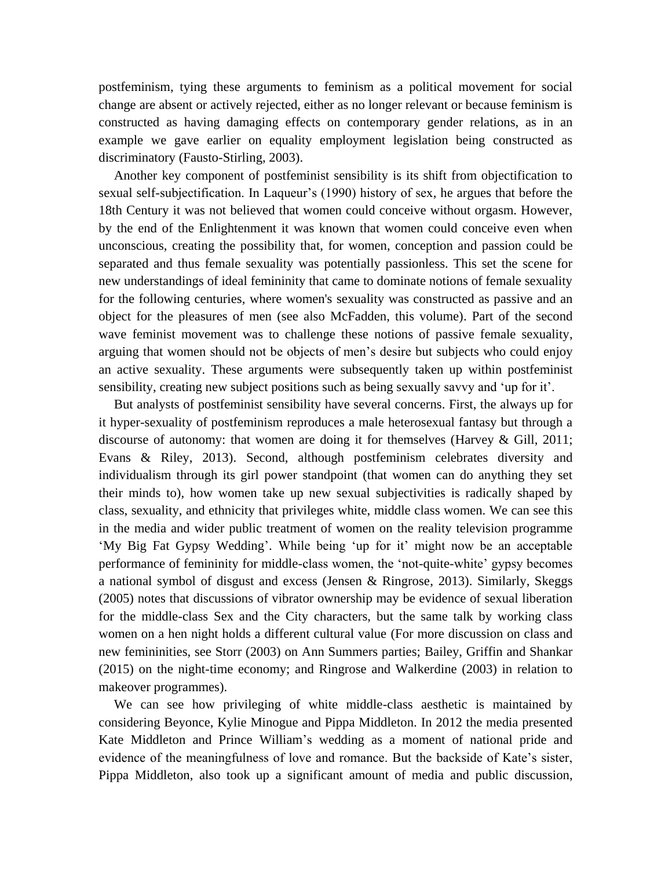postfeminism, tying these arguments to feminism as a political movement for social change are absent or actively rejected, either as no longer relevant or because feminism is constructed as having damaging effects on contemporary gender relations, as in an example we gave earlier on equality employment legislation being constructed as discriminatory (Fausto-Stirling, 2003).

Another key component of postfeminist sensibility is its shift from objectification to sexual self-subjectification. In Laqueur's (1990) history of sex, he argues that before the 18th Century it was not believed that women could conceive without orgasm. However, by the end of the Enlightenment it was known that women could conceive even when unconscious, creating the possibility that, for women, conception and passion could be separated and thus female sexuality was potentially passionless. This set the scene for new understandings of ideal femininity that came to dominate notions of female sexuality for the following centuries, where women's sexuality was constructed as passive and an object for the pleasures of men (see also McFadden, this volume). Part of the second wave feminist movement was to challenge these notions of passive female sexuality, arguing that women should not be objects of men's desire but subjects who could enjoy an active sexuality. These arguments were subsequently taken up within postfeminist sensibility, creating new subject positions such as being sexually savvy and 'up for it'.

But analysts of postfeminist sensibility have several concerns. First, the always up for it hyper-sexuality of postfeminism reproduces a male heterosexual fantasy but through a discourse of autonomy: that women are doing it for themselves (Harvey & Gill, 2011; Evans & Riley, 2013). Second, although postfeminism celebrates diversity and individualism through its girl power standpoint (that women can do anything they set their minds to), how women take up new sexual subjectivities is radically shaped by class, sexuality, and ethnicity that privileges white, middle class women. We can see this in the media and wider public treatment of women on the reality television programme 'My Big Fat Gypsy Wedding'. While being 'up for it' might now be an acceptable performance of femininity for middle-class women, the 'not-quite-white' gypsy becomes a national symbol of disgust and excess (Jensen & Ringrose, 2013). Similarly, Skeggs (2005) notes that discussions of vibrator ownership may be evidence of sexual liberation for the middle-class Sex and the City characters, but the same talk by working class women on a hen night holds a different cultural value (For more discussion on class and new femininities, see Storr (2003) on Ann Summers parties; Bailey, Griffin and Shankar (2015) on the night-time economy; and Ringrose and Walkerdine (2003) in relation to makeover programmes).

We can see how privileging of white middle-class aesthetic is maintained by considering Beyonce, Kylie Minogue and Pippa Middleton. In 2012 the media presented Kate Middleton and Prince William's wedding as a moment of national pride and evidence of the meaningfulness of love and romance. But the backside of Kate's sister, Pippa Middleton, also took up a significant amount of media and public discussion,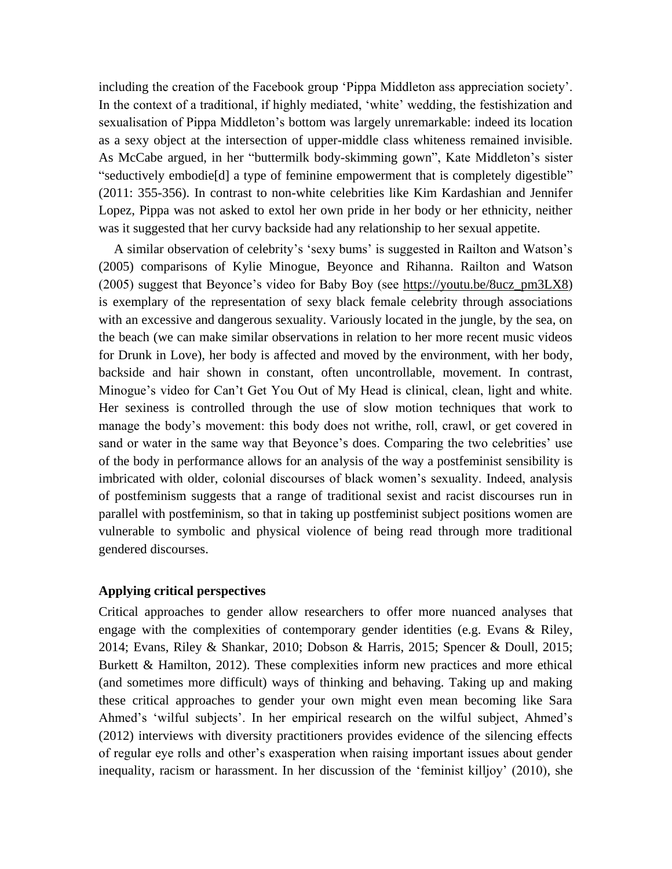including the creation of the Facebook group 'Pippa Middleton ass appreciation society'. In the context of a traditional, if highly mediated, 'white' wedding, the festishization and sexualisation of Pippa Middleton's bottom was largely unremarkable: indeed its location as a sexy object at the intersection of upper-middle class whiteness remained invisible. As McCabe argued, in her "buttermilk body-skimming gown", Kate Middleton's sister "seductively embodie[d] a type of feminine empowerment that is completely digestible" (2011: 355-356). In contrast to non-white celebrities like Kim Kardashian and Jennifer Lopez, Pippa was not asked to extol her own pride in her body or her ethnicity, neither was it suggested that her curvy backside had any relationship to her sexual appetite.

A similar observation of celebrity's 'sexy bums' is suggested in Railton and Watson's (2005) comparisons of Kylie Minogue, Beyonce and Rihanna. Railton and Watson (2005) suggest that Beyonce's video for Baby Boy (see https://youtu.be/8ucz\_pm3LX8) is exemplary of the representation of sexy black female celebrity through associations with an excessive and dangerous sexuality. Variously located in the jungle, by the sea, on the beach (we can make similar observations in relation to her more recent music videos for Drunk in Love), her body is affected and moved by the environment, with her body, backside and hair shown in constant, often uncontrollable, movement. In contrast, Minogue's video for Can't Get You Out of My Head is clinical, clean, light and white. Her sexiness is controlled through the use of slow motion techniques that work to manage the body's movement: this body does not writhe, roll, crawl, or get covered in sand or water in the same way that Beyonce's does. Comparing the two celebrities' use of the body in performance allows for an analysis of the way a postfeminist sensibility is imbricated with older, colonial discourses of black women's sexuality. Indeed, analysis of postfeminism suggests that a range of traditional sexist and racist discourses run in parallel with postfeminism, so that in taking up postfeminist subject positions women are vulnerable to symbolic and physical violence of being read through more traditional gendered discourses.

#### **Applying critical perspectives**

Critical approaches to gender allow researchers to offer more nuanced analyses that engage with the complexities of contemporary gender identities (e.g. Evans & Riley, 2014; Evans, Riley & Shankar, 2010; Dobson & Harris, 2015; Spencer & Doull, 2015; Burkett & Hamilton, 2012). These complexities inform new practices and more ethical (and sometimes more difficult) ways of thinking and behaving. Taking up and making these critical approaches to gender your own might even mean becoming like Sara Ahmed's 'wilful subjects'. In her empirical research on the wilful subject, Ahmed's (2012) interviews with diversity practitioners provides evidence of the silencing effects of regular eye rolls and other's exasperation when raising important issues about gender inequality, racism or harassment. In her discussion of the 'feminist killjoy' (2010), she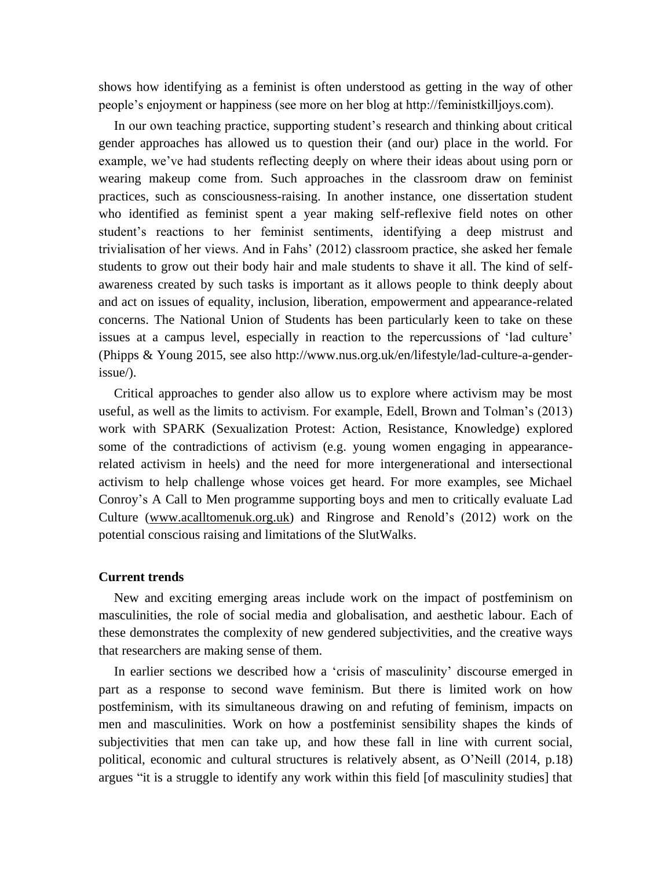shows how identifying as a feminist is often understood as getting in the way of other people's enjoyment or happiness (see more on her blog at http://feministkilljoys.com).

In our own teaching practice, supporting student's research and thinking about critical gender approaches has allowed us to question their (and our) place in the world. For example, we've had students reflecting deeply on where their ideas about using porn or wearing makeup come from. Such approaches in the classroom draw on feminist practices, such as consciousness-raising. In another instance, one dissertation student who identified as feminist spent a year making self-reflexive field notes on other student's reactions to her feminist sentiments, identifying a deep mistrust and trivialisation of her views. And in Fahs' (2012) classroom practice, she asked her female students to grow out their body hair and male students to shave it all. The kind of selfawareness created by such tasks is important as it allows people to think deeply about and act on issues of equality, inclusion, liberation, empowerment and appearance-related concerns. The National Union of Students has been particularly keen to take on these issues at a campus level, especially in reaction to the repercussions of 'lad culture' (Phipps & Young 2015, see also http://www.nus.org.uk/en/lifestyle/lad-culture-a-genderissue/).

Critical approaches to gender also allow us to explore where activism may be most useful, as well as the limits to activism. For example, Edell, Brown and Tolman's (2013) work with SPARK (Sexualization Protest: Action, Resistance, Knowledge) explored some of the contradictions of activism (e.g. young women engaging in appearancerelated activism in heels) and the need for more intergenerational and intersectional activism to help challenge whose voices get heard. For more examples, see Michael Conroy's A Call to Men programme supporting boys and men to critically evaluate Lad Culture (www.acalltomenuk.org.uk) and Ringrose and Renold's (2012) work on the potential conscious raising and limitations of the SlutWalks.

#### **Current trends**

New and exciting emerging areas include work on the impact of postfeminism on masculinities, the role of social media and globalisation, and aesthetic labour. Each of these demonstrates the complexity of new gendered subjectivities, and the creative ways that researchers are making sense of them.

In earlier sections we described how a 'crisis of masculinity' discourse emerged in part as a response to second wave feminism. But there is limited work on how postfeminism, with its simultaneous drawing on and refuting of feminism, impacts on men and masculinities. Work on how a postfeminist sensibility shapes the kinds of subjectivities that men can take up, and how these fall in line with current social, political, economic and cultural structures is relatively absent, as O'Neill (2014, p.18) argues "it is a struggle to identify any work within this field [of masculinity studies] that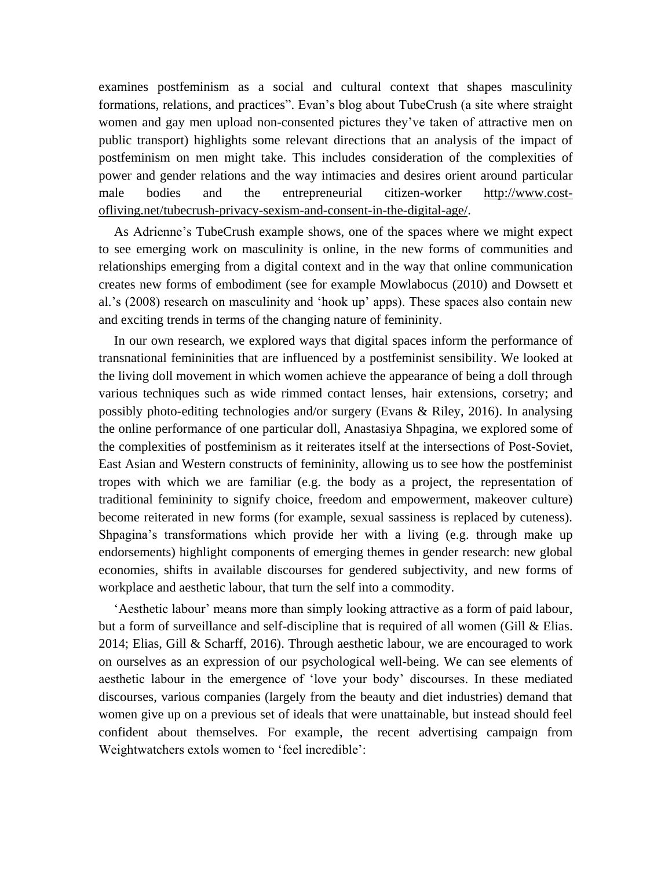examines postfeminism as a social and cultural context that shapes masculinity formations, relations, and practices". Evan's blog about TubeCrush (a site where straight women and gay men upload non-consented pictures they've taken of attractive men on public transport) highlights some relevant directions that an analysis of the impact of postfeminism on men might take. This includes consideration of the complexities of power and gender relations and the way intimacies and desires orient around particular male bodies and the entrepreneurial citizen-worker [http://www.cost](http://www.cost-ofliving.net/tubecrush-privacy-sexism-and-consent-in-the-digital-age/)[ofliving.net/tubecrush-privacy-sexism-and-consent-in-the-digital-age/.](http://www.cost-ofliving.net/tubecrush-privacy-sexism-and-consent-in-the-digital-age/)

As Adrienne's TubeCrush example shows, one of the spaces where we might expect to see emerging work on masculinity is online, in the new forms of communities and relationships emerging from a digital context and in the way that online communication creates new forms of embodiment (see for example Mowlabocus (2010) and Dowsett et al.'s (2008) research on masculinity and 'hook up' apps). These spaces also contain new and exciting trends in terms of the changing nature of femininity.

In our own research, we explored ways that digital spaces inform the performance of transnational femininities that are influenced by a postfeminist sensibility. We looked at the living doll movement in which women achieve the appearance of being a doll through various techniques such as wide rimmed contact lenses, hair extensions, corsetry; and possibly photo-editing technologies and/or surgery (Evans & Riley, 2016). In analysing the online performance of one particular doll, Anastasiya Shpagina, we explored some of the complexities of postfeminism as it reiterates itself at the intersections of Post-Soviet, East Asian and Western constructs of femininity, allowing us to see how the postfeminist tropes with which we are familiar (e.g. the body as a project, the representation of traditional femininity to signify choice, freedom and empowerment, makeover culture) become reiterated in new forms (for example, sexual sassiness is replaced by cuteness). Shpagina's transformations which provide her with a living (e.g. through make up endorsements) highlight components of emerging themes in gender research: new global economies, shifts in available discourses for gendered subjectivity, and new forms of workplace and aesthetic labour, that turn the self into a commodity.

'Aesthetic labour' means more than simply looking attractive as a form of paid labour, but a form of surveillance and self-discipline that is required of all women (Gill & Elias. 2014; Elias, Gill & Scharff, 2016). Through aesthetic labour, we are encouraged to work on ourselves as an expression of our psychological well-being. We can see elements of aesthetic labour in the emergence of 'love your body' discourses. In these mediated discourses, various companies (largely from the beauty and diet industries) demand that women give up on a previous set of ideals that were unattainable, but instead should feel confident about themselves. For example, the recent advertising campaign from Weightwatchers extols women to 'feel incredible':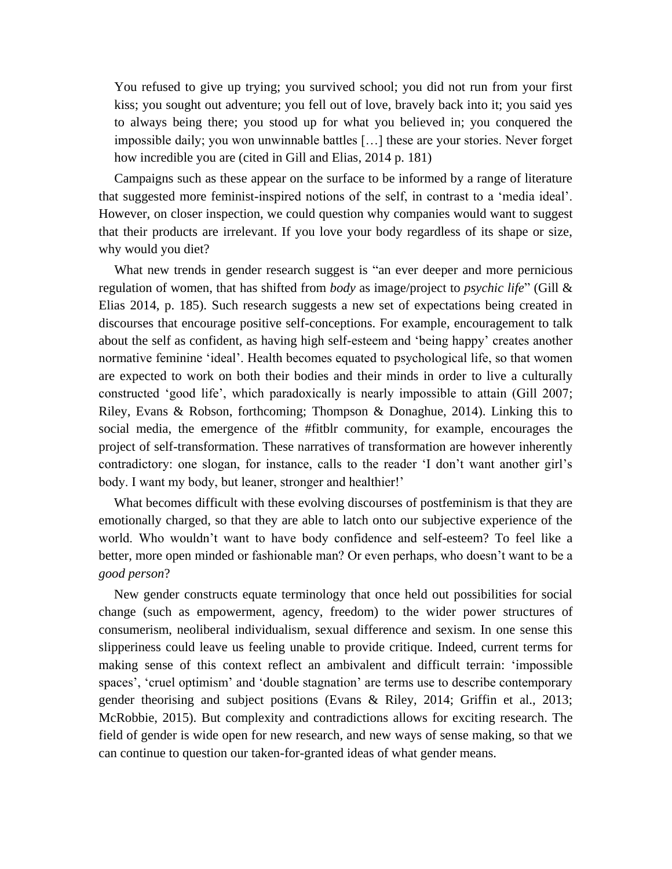You refused to give up trying; you survived school; you did not run from your first kiss; you sought out adventure; you fell out of love, bravely back into it; you said yes to always being there; you stood up for what you believed in; you conquered the impossible daily; you won unwinnable battles […] these are your stories. Never forget how incredible you are (cited in Gill and Elias, 2014 p. 181)

Campaigns such as these appear on the surface to be informed by a range of literature that suggested more feminist-inspired notions of the self, in contrast to a 'media ideal'. However, on closer inspection, we could question why companies would want to suggest that their products are irrelevant. If you love your body regardless of its shape or size, why would you diet?

What new trends in gender research suggest is "an ever deeper and more pernicious" regulation of women, that has shifted from *body* as image/project to *psychic life*" (Gill & Elias 2014, p. 185). Such research suggests a new set of expectations being created in discourses that encourage positive self-conceptions. For example, encouragement to talk about the self as confident, as having high self-esteem and 'being happy' creates another normative feminine 'ideal'. Health becomes equated to psychological life, so that women are expected to work on both their bodies and their minds in order to live a culturally constructed 'good life', which paradoxically is nearly impossible to attain (Gill 2007; Riley, Evans & Robson, forthcoming; Thompson & Donaghue, 2014). Linking this to social media, the emergence of the #fitblr community, for example, encourages the project of self-transformation. These narratives of transformation are however inherently contradictory: one slogan, for instance, calls to the reader 'I don't want another girl's body. I want my body, but leaner, stronger and healthier!'

What becomes difficult with these evolving discourses of postfeminism is that they are emotionally charged, so that they are able to latch onto our subjective experience of the world. Who wouldn't want to have body confidence and self-esteem? To feel like a better, more open minded or fashionable man? Or even perhaps, who doesn't want to be a *good person*?

New gender constructs equate terminology that once held out possibilities for social change (such as empowerment, agency, freedom) to the wider power structures of consumerism, neoliberal individualism, sexual difference and sexism. In one sense this slipperiness could leave us feeling unable to provide critique. Indeed, current terms for making sense of this context reflect an ambivalent and difficult terrain: 'impossible spaces', 'cruel optimism' and 'double stagnation' are terms use to describe contemporary gender theorising and subject positions (Evans & Riley, 2014; Griffin et al., 2013; McRobbie, 2015). But complexity and contradictions allows for exciting research. The field of gender is wide open for new research, and new ways of sense making, so that we can continue to question our taken-for-granted ideas of what gender means.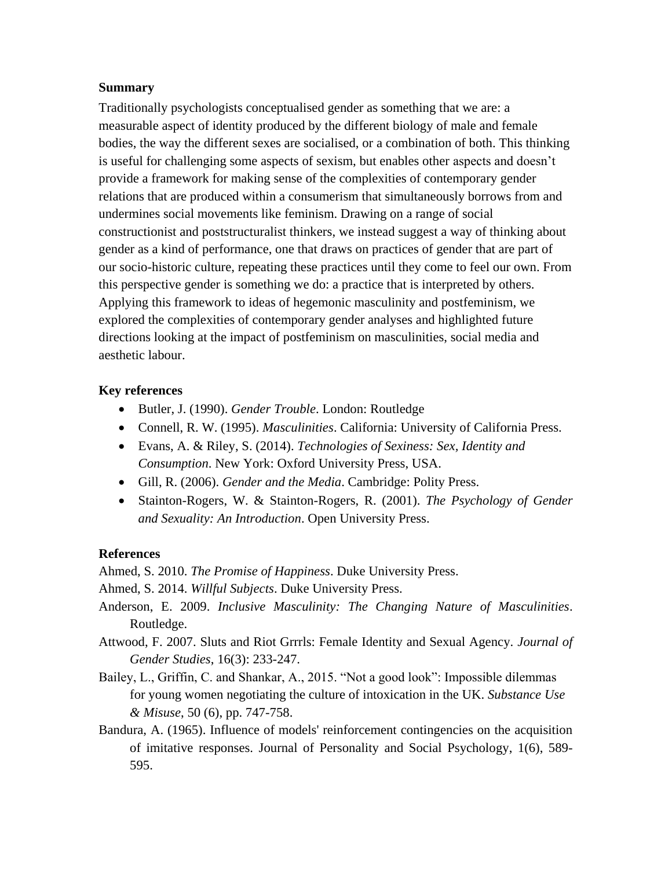### **Summary**

Traditionally psychologists conceptualised gender as something that we are: a measurable aspect of identity produced by the different biology of male and female bodies, the way the different sexes are socialised, or a combination of both. This thinking is useful for challenging some aspects of sexism, but enables other aspects and doesn't provide a framework for making sense of the complexities of contemporary gender relations that are produced within a consumerism that simultaneously borrows from and undermines social movements like feminism. Drawing on a range of social constructionist and poststructuralist thinkers, we instead suggest a way of thinking about gender as a kind of performance, one that draws on practices of gender that are part of our socio-historic culture, repeating these practices until they come to feel our own. From this perspective gender is something we do: a practice that is interpreted by others. Applying this framework to ideas of hegemonic masculinity and postfeminism, we explored the complexities of contemporary gender analyses and highlighted future directions looking at the impact of postfeminism on masculinities, social media and aesthetic labour.

# **Key references**

- Butler, J. (1990). *Gender Trouble*. London: Routledge
- Connell, R. W. (1995). *Masculinities*. California: University of California Press.
- Evans, A. & Riley, S. (2014). *Technologies of Sexiness: Sex, Identity and Consumption*. New York: Oxford University Press, USA.
- Gill, R. (2006). *Gender and the Media*. Cambridge: Polity Press.
- Stainton-Rogers, W. & Stainton-Rogers, R. (2001). *The Psychology of Gender and Sexuality: An Introduction*. Open University Press.

# **References**

Ahmed, S. 2010. *The Promise of Happiness*. Duke University Press.

- Ahmed, S. 2014. *Willful Subjects*. Duke University Press.
- Anderson, E. 2009. *Inclusive Masculinity: The Changing Nature of Masculinities*. Routledge.
- Attwood, F. 2007. Sluts and Riot Grrrls: Female Identity and Sexual Agency. *Journal of Gender Studies*, 16(3): 233-247.
- Bailey, L., Griffin, C. and Shankar, A., 2015. "Not a good look": Impossible dilemmas for young women negotiating the culture of intoxication in the UK. *Substance Use & Misuse*, 50 (6), pp. 747-758.
- Bandura, A. (1965). Influence of models' reinforcement contingencies on the acquisition of imitative responses. Journal of Personality and Social Psychology, 1(6), 589- 595.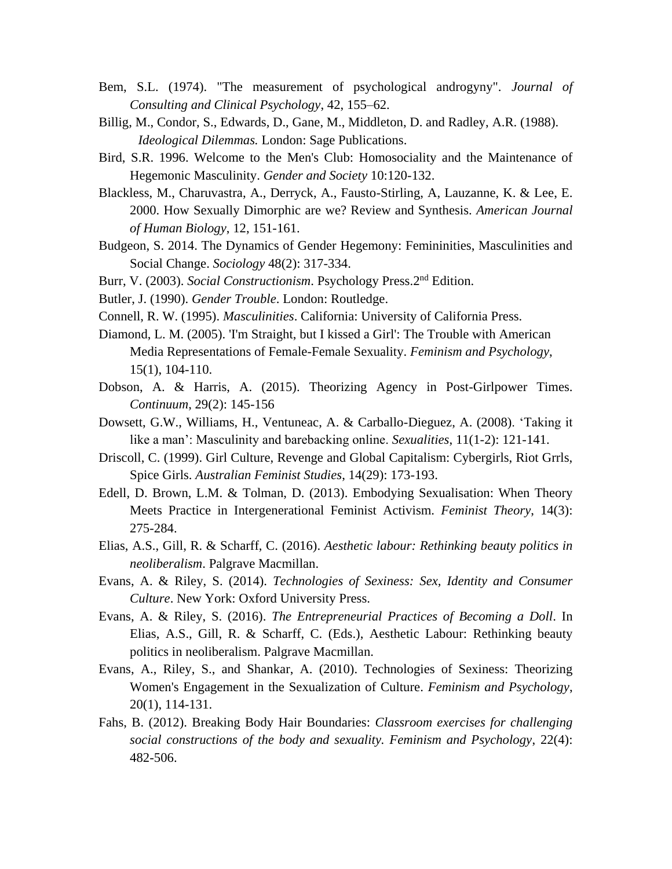- Bem, S.L. (1974). "The measurement of psychological androgyny". *Journal of Consulting and Clinical Psychology*, 42, 155–62.
- Billig, M., Condor, S., Edwards, D., Gane, M., Middleton, D. and Radley, A.R. (1988). *Ideological Dilemmas.* London: Sage Publications.
- Bird, S.R. 1996. Welcome to the Men's Club: Homosociality and the Maintenance of Hegemonic Masculinity. *Gender and Society* 10:120-132.
- Blackless, M., Charuvastra, A., Derryck, A., Fausto-Stirling, A, Lauzanne, K. & Lee, E. 2000. How Sexually Dimorphic are we? Review and Synthesis. *American Journal of Human Biology*, 12, 151-161.
- Budgeon, S. 2014. The Dynamics of Gender Hegemony: Femininities, Masculinities and Social Change. *Sociology* 48(2): 317-334.
- Burr, V. (2003). *Social Constructionism*. Psychology Press.2<sup>nd</sup> Edition.
- Butler, J. (1990). *Gender Trouble*. London: Routledge.
- Connell, R. W. (1995). *Masculinities*. California: University of California Press.
- Diamond, L. M. (2005). 'I'm Straight, but I kissed a Girl': The Trouble with American Media Representations of Female-Female Sexuality. *Feminism and Psychology*, 15(1), 104-110.
- Dobson, A. & Harris, A. (2015). Theorizing Agency in Post-Girlpower Times. *Continuum*, 29(2): 145-156
- Dowsett, G.W., Williams, H., Ventuneac, A. & Carballo-Dieguez, A. (2008). 'Taking it like a man': Masculinity and barebacking online. *Sexualities*, 11(1-2): 121-141.
- Driscoll, C. (1999). Girl Culture, Revenge and Global Capitalism: Cybergirls, Riot Grrls, Spice Girls. *Australian Feminist Studies*, 14(29): 173-193.
- Edell, D. Brown, L.M. & Tolman, D. (2013). Embodying Sexualisation: When Theory Meets Practice in Intergenerational Feminist Activism. *Feminist Theory*, 14(3): 275-284.
- Elias, A.S., Gill, R. & Scharff, C. (2016). *Aesthetic labour: Rethinking beauty politics in neoliberalism*. Palgrave Macmillan.
- Evans, A. & Riley, S. (2014). *Technologies of Sexiness: Sex, Identity and Consumer Culture*. New York: Oxford University Press.
- Evans, A. & Riley, S. (2016). *The Entrepreneurial Practices of Becoming a Doll*. In Elias, A.S., Gill, R. & Scharff, C. (Eds.), Aesthetic Labour: Rethinking beauty politics in neoliberalism. Palgrave Macmillan.
- Evans, A., Riley, S., and Shankar, A. (2010). Technologies of Sexiness: Theorizing Women's Engagement in the Sexualization of Culture. *Feminism and Psychology*, 20(1), 114-131.
- Fahs, B. (2012). Breaking Body Hair Boundaries: *Classroom exercises for challenging social constructions of the body and sexuality. Feminism and Psychology*, 22(4): 482-506.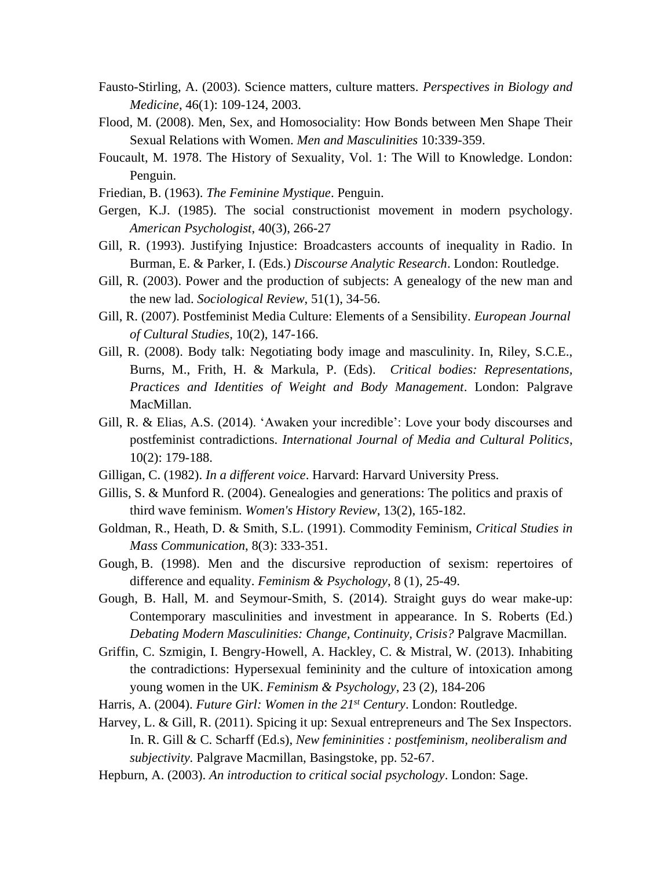- Fausto-Stirling, A. (2003). Science matters, culture matters. *Perspectives in Biology and Medicine*, 46(1): 109-124, 2003.
- Flood, M. (2008). Men, Sex, and Homosociality: How Bonds between Men Shape Their Sexual Relations with Women. *Men and Masculinities* 10:339-359.
- Foucault, M. 1978. The History of Sexuality, Vol. 1: The Will to Knowledge. London: Penguin.
- Friedian, B. (1963). *The Feminine Mystique*. Penguin.
- Gergen, K.J. (1985). The social constructionist movement in modern psychology. *American Psychologist*, 40(3), 266-27
- Gill, R. (1993). Justifying Injustice: Broadcasters accounts of inequality in Radio. In Burman, E. & Parker, I. (Eds.) *Discourse Analytic Research*. London: Routledge.
- Gill, R. (2003). Power and the production of subjects: A genealogy of the new man and the new lad. *Sociological Review*, 51(1), 34-56.
- Gill, R. (2007). Postfeminist Media Culture: Elements of a Sensibility. *European Journal of Cultural Studies*, 10(2), 147-166.
- Gill, R. (2008). Body talk: Negotiating body image and masculinity. In, Riley, S.C.E., Burns, M., Frith, H. & Markula, P. (Eds). *Critical bodies: Representations, Practices and Identities of Weight and Body Management*. London: Palgrave MacMillan.
- Gill, R. & Elias, A.S. (2014). 'Awaken your incredible': Love your body discourses and postfeminist contradictions. *International Journal of Media and Cultural Politics*, 10(2): 179-188.
- Gilligan, C. (1982). *In a different voice*. Harvard: Harvard University Press.
- Gillis, S. & Munford R. (2004). Genealogies and generations: The politics and praxis of third wave feminism. *Women's History Review*, 13(2), 165-182.
- Goldman, R., Heath, D. & Smith, S.L. (1991). Commodity Feminism, *Critical Studies in Mass Communication*, 8(3): 333-351.
- Gough, B. (1998). Men and the discursive reproduction of sexism: repertoires of difference and equality. *Feminism & Psychology*, 8 (1), 25-49.
- Gough, B. Hall, M. and Seymour-Smith, S. (2014). Straight guys do wear make-up: Contemporary masculinities and investment in appearance. In S. Roberts (Ed.) *Debating Modern Masculinities: Change, Continuity, Crisis?* Palgrave Macmillan.
- Griffin, C. Szmigin, I. Bengry-Howell, A. Hackley, C. & Mistral, W. (2013). Inhabiting the contradictions: Hypersexual femininity and the culture of intoxication among young women in the UK. *Feminism & Psychology*, 23 (2), 184-206
- Harris, A. (2004). *Future Girl: Women in the 21st Century*. London: Routledge.
- Harvey, L. & Gill, R. (2011). Spicing it up: Sexual entrepreneurs and The Sex Inspectors. In. R. Gill & C. Scharff (Ed.s), *New femininities : postfeminism, neoliberalism and subjectivity.* Palgrave Macmillan, Basingstoke, pp. 52-67.
- Hepburn, A. (2003). *An introduction to critical social psychology*. London: Sage.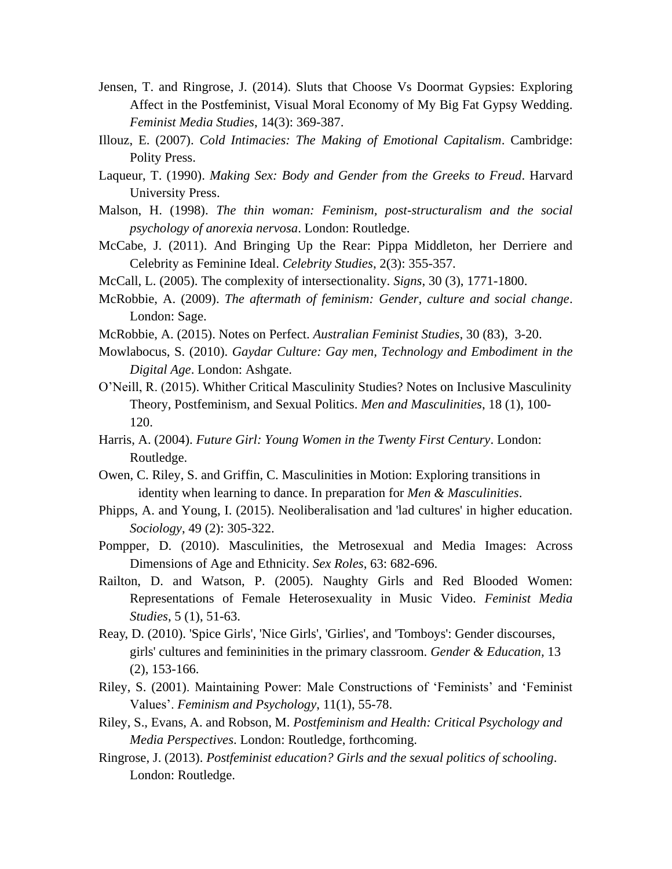- Jensen, T. and Ringrose, J. (2014). Sluts that Choose Vs Doormat Gypsies: Exploring Affect in the Postfeminist, Visual Moral Economy of My Big Fat Gypsy Wedding. *Feminist Media Studies*, 14(3): 369-387.
- Illouz, E. (2007). *Cold Intimacies: The Making of Emotional Capitalism*. Cambridge: Polity Press.
- Laqueur, T. (1990). *Making Sex: Body and Gender from the Greeks to Freud*. Harvard University Press.
- Malson, H. (1998). *The thin woman: Feminism, post-structuralism and the social psychology of anorexia nervosa*. London: Routledge.
- McCabe, J. (2011). And Bringing Up the Rear: Pippa Middleton, her Derriere and Celebrity as Feminine Ideal. *Celebrity Studies*, 2(3): 355-357.
- McCall, L. (2005). The complexity of intersectionality. *Signs*, 30 (3), 1771-1800.
- McRobbie, A. (2009). *The aftermath of feminism: Gender, culture and social change*. London: Sage.
- McRobbie, A. (2015). Notes on Perfect. *Australian Feminist Studies*, 30 (83), 3-20.
- Mowlabocus, S. (2010). *Gaydar Culture: Gay men, Technology and Embodiment in the Digital Age*. London: Ashgate.
- O'Neill, R. (2015). Whither Critical Masculinity Studies? Notes on Inclusive Masculinity Theory, Postfeminism, and Sexual Politics. *Men and Masculinities*, 18 (1), 100- 120.
- Harris, A. (2004). *Future Girl: Young Women in the Twenty First Century*. London: Routledge.
- Owen, C. Riley, S. and Griffin, C. Masculinities in Motion: Exploring transitions in identity when learning to dance. In preparation for *Men & Masculinities*.
- Phipps, A. and Young, I. (2015). Neoliberalisation and 'lad cultures' in higher education. *Sociology*, 49 (2): 305-322.
- Pompper, D. (2010). Masculinities, the Metrosexual and Media Images: Across Dimensions of Age and Ethnicity. *Sex Roles*, 63: 682-696.
- Railton, D. and Watson, P. (2005). Naughty Girls and Red Blooded Women: Representations of Female Heterosexuality in Music Video. *Feminist Media Studies*, 5 (1), 51-63.
- Reay, D. (2010). 'Spice Girls', 'Nice Girls', 'Girlies', and 'Tomboys': Gender discourses, girls' cultures and femininities in the primary classroom. *Gender & Education,* 13 (2), 153-166.
- Riley, S. (2001). Maintaining Power: Male Constructions of 'Feminists' and 'Feminist Values'. *Feminism and Psychology*, 11(1), 55-78.
- Riley, S., Evans, A. and Robson, M. *Postfeminism and Health: Critical Psychology and Media Perspectives*. London: Routledge, forthcoming.
- Ringrose, J. (2013). *Postfeminist education? Girls and the sexual politics of schooling*. London: Routledge.